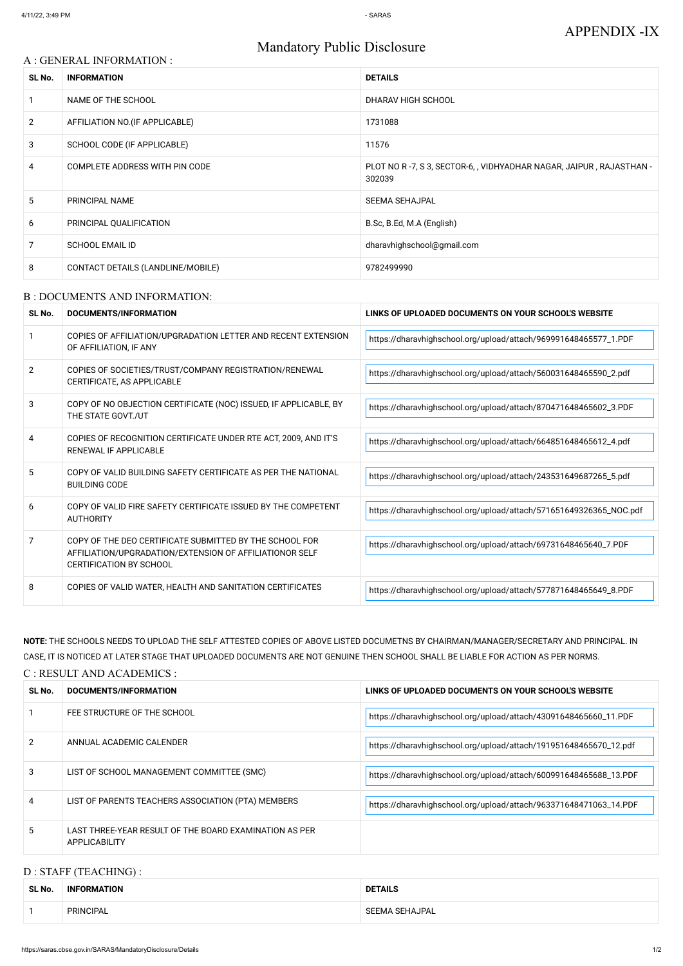# Mandatory Public Disclosure

#### A : GENERAL INFORMATION :

| SL No.         | <b>INFORMATION</b>                | <b>DETAILS</b>                                                                |  |
|----------------|-----------------------------------|-------------------------------------------------------------------------------|--|
|                | NAME OF THE SCHOOL                | DHARAV HIGH SCHOOL                                                            |  |
| $\overline{2}$ | AFFILIATION NO. (IF APPLICABLE)   | 1731088                                                                       |  |
| 3              | SCHOOL CODE (IF APPLICABLE)       | 11576                                                                         |  |
| 4              | COMPLETE ADDRESS WITH PIN CODE    | PLOT NO R-7, S 3, SECTOR-6, , VIDHYADHAR NAGAR, JAIPUR, RAJASTHAN -<br>302039 |  |
| 5              | PRINCIPAL NAME                    | <b>SEEMA SEHAJPAL</b>                                                         |  |
| 6              | PRINCIPAL QUALIFICATION           | B.Sc, B.Ed, M.A (English)                                                     |  |
| 7              | <b>SCHOOL EMAIL ID</b>            | dharavhighschool@gmail.com                                                    |  |
| 8              | CONTACT DETAILS (LANDLINE/MOBILE) | 9782499990                                                                    |  |

#### B : DOCUMENTS AND INFORMATION:

| SL No.         | <b>DOCUMENTS/INFORMATION</b>                                                                                                                         | LINKS OF UPLOADED DOCUMENTS ON YOUR SCHOOL'S WEBSITE               |
|----------------|------------------------------------------------------------------------------------------------------------------------------------------------------|--------------------------------------------------------------------|
|                | COPIES OF AFFILIATION/UPGRADATION LETTER AND RECENT EXTENSION<br>OF AFFILIATION, IF ANY                                                              | https://dharavhighschool.org/upload/attach/969991648465577_1.PDF   |
| $\overline{2}$ | COPIES OF SOCIETIES/TRUST/COMPANY REGISTRATION/RENEWAL<br>CERTIFICATE, AS APPLICABLE                                                                 | https://dharavhighschool.org/upload/attach/560031648465590_2.pdf   |
| 3              | COPY OF NO OBJECTION CERTIFICATE (NOC) ISSUED, IF APPLICABLE, BY<br>THE STATE GOVT./UT                                                               | https://dharavhighschool.org/upload/attach/870471648465602_3.PDF   |
| 4              | COPIES OF RECOGNITION CERTIFICATE UNDER RTE ACT, 2009, AND IT'S<br>RENEWAL IF APPLICABLE                                                             | https://dharavhighschool.org/upload/attach/664851648465612_4.pdf   |
| 5              | COPY OF VALID BUILDING SAFETY CERTIFICATE AS PER THE NATIONAL<br><b>BUILDING CODE</b>                                                                | https://dharavhighschool.org/upload/attach/243531649687265_5.pdf   |
| 6              | COPY OF VALID FIRE SAFETY CERTIFICATE ISSUED BY THE COMPETENT<br><b>AUTHORITY</b>                                                                    | https://dharavhighschool.org/upload/attach/571651649326365_NOC.pdf |
| 7              | COPY OF THE DEO CERTIFICATE SUBMITTED BY THE SCHOOL FOR<br>AFFILIATION/UPGRADATION/EXTENSION OF AFFILIATIONOR SELF<br><b>CERTIFICATION BY SCHOOL</b> | https://dharavhighschool.org/upload/attach/69731648465640_7.PDF    |
| 8              | COPIES OF VALID WATER, HEALTH AND SANITATION CERTIFICATES                                                                                            | https://dharavhighschool.org/upload/attach/577871648465649_8.PDF   |

NOTE: THE SCHOOLS NEEDS TO UPLOAD THE SELF ATTESTED COPIES OF ABOVE LISTED DOCUMETNS BY CHAIRMAN/MANAGER/SECRETARY AND PRINCIPAL. IN CASE, IT IS NOTICED AT LATER STAGE THAT UPLOADED DOCUMENTS ARE NOT GENUINE THEN SCHOOL SHALL BE LIABLE FOR ACTION AS PER NORMS. C : RESULT AND ACADEMICS :

| SL No. | DOCUMENTS/INFORMATION       | LINKS OF UPLOADED DOCUMENTS ON YOUR SCHOOL'S WEBSITE             |  |
|--------|-----------------------------|------------------------------------------------------------------|--|
|        | FEE STRUCTURE OF THE SCHOOL | https://dharavhighschool.org/upload/attach/43091648465660_11.PDF |  |

| 2 | ANNUAL ACADEMIC CALENDER                                                       | https://dharavhighschool.org/upload/attach/191951648465670_12.pdf |
|---|--------------------------------------------------------------------------------|-------------------------------------------------------------------|
| 3 | LIST OF SCHOOL MANAGEMENT COMMITTEE (SMC)                                      | https://dharavhighschool.org/upload/attach/600991648465688_13.PDF |
| 4 | LIST OF PARENTS TEACHERS ASSOCIATION (PTA) MEMBERS                             | https://dharavhighschool.org/upload/attach/963371648471063_14.PDF |
| 5 | LAST THREE-YEAR RESULT OF THE BOARD EXAMINATION AS PER<br><b>APPLICABILITY</b> |                                                                   |

## D : STAFF (TEACHING) :

| SL No. | <b>INFORMATION</b> | <b>DETAILS</b> |
|--------|--------------------|----------------|
|        | PRINCIPAL          | SEEMA SEHAJPAL |